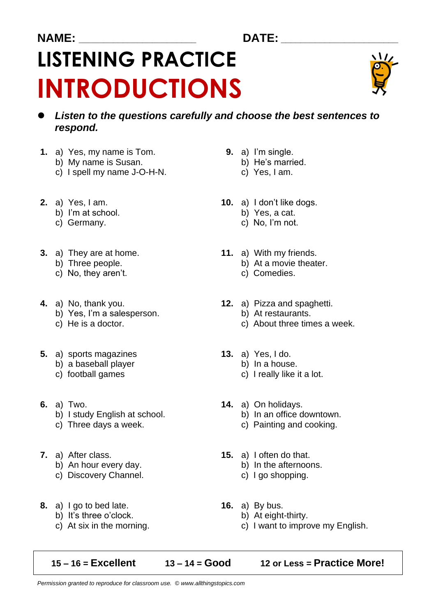### **NAME: \_\_\_\_\_\_\_\_\_\_\_\_\_\_\_\_\_\_\_\_\_\_\_\_ DATE: \_\_\_\_\_\_\_\_\_\_\_\_\_\_\_\_\_\_\_\_\_\_\_\_**

# **LISTENING PRACTICE INTRODUCTIONS**



- ⚫ *Listen to the questions carefully and choose the best sentences to respond.*
- **1.** a) Yes, my name is Tom. **9.** a) I'm single.
	- b) My name is Susan.<br>
	c) I spell my name J-O-H-N. 
	b) He's marrie
	- c) I spell my name  $J-O-H-N$ .
- - b) I'm at school.
	-
- **3.** a) They are at home. **11.** a) With my friends.<br>b) Three people. **11.** a) At a movie theat
	-
	- c) No, they aren't. C) Comedies.
- - b) Yes, I'm a salesperson. b) At restaurants.
	-
- **5.** a) sports magazines **13.** a) Yes, I do.
	- b) a baseball player b) In a house.
	-
- 
- **6.** a) Two. **14.** a) On holidays. b) I study English at school.
	-
- - b) An hour every day. b) In the afternoons.
	- c) Discovery Channel. **c**) I go shopping.
- **8.** a) I go to bed late. **16.** a) By bus.
	- b) It's three o'clock. b) At eight-thirty.
	-

- -
	-
- **2.** a) Yes, I am. **10.** a) I don't like dogs.<br>b) I'm at school. **10.** b) Yes, a cat.
	-
	- c) Germany. c) No, I'm not.
		- - b) At a movie theater.
			-
- **4.** a) No, thank you. **12.** a) Pizza and spaghetti.
	-
	- c) He is a doctor.  $\qquad \qquad \qquad$  c) About three times a week.
		- -
	- c) football games c) I really like it a lot.
		- -
	- c) Three days a week.  $\qquad \qquad$  c) Painting and cooking.
- **7.** a) After class. **15.** a) I often do that.
	-
	-
	- -
	- c) At six in the morning. c) I want to improve my English.
	- **15 – 16 = Excellent 13 – 14 = Good 12 or Less = Practice More!**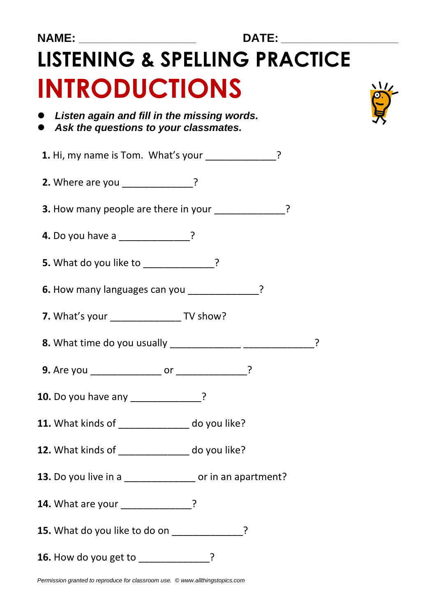|   | ٨ |    |  |
|---|---|----|--|
|   |   |    |  |
| I |   | Ml |  |
|   |   |    |  |

## **LISTENING & SPELLING PRACTICE INTRODUCTIONS**



⚫ *Listen again and fill in the missing words.* ⚫ *Ask the questions to your classmates.*

**1.** Hi, my name is Tom. What's your \_\_\_\_\_\_\_\_\_\_\_\_?

**2.** Where are you \_\_\_\_\_\_\_\_\_\_\_\_\_\_?

**3.** How many people are there in your  $\cdot$ 

- **4.** Do you have a **candidate** ?
- **5.** What do you like to \_\_\_\_\_\_\_\_\_\_\_\_\_?

**6.** How many languages can you **cannot**?

- **7.** What's your **TV show?**
- **8.** What time do you usually \_\_\_\_\_\_\_\_\_\_\_\_\_\_\_\_\_\_\_\_\_\_\_\_\_\_\_\_\_\_\_\_\_?
- **9.** Are you \_\_\_\_\_\_\_\_\_\_\_\_\_\_\_\_\_ or \_\_\_\_\_\_\_\_\_\_\_\_\_\_\_?
- **10.** Do you have any **example 2**
- **11.** What kinds of \_\_\_\_\_\_\_\_\_\_\_\_\_ do you like?
- **12.** What kinds of \_\_\_\_\_\_\_\_\_\_\_\_\_ do you like?
- **13.** Do you live in a \_\_\_\_\_\_\_\_\_\_\_\_\_\_\_\_\_ or in an apartment?
- **14.** What are your \_\_\_\_\_\_\_\_\_\_\_\_?
- **15.** What do you like to do on \_\_\_\_\_\_\_\_\_\_\_\_\_?
- **16.** How do you get to \_\_\_\_\_\_\_\_\_\_\_\_\_?